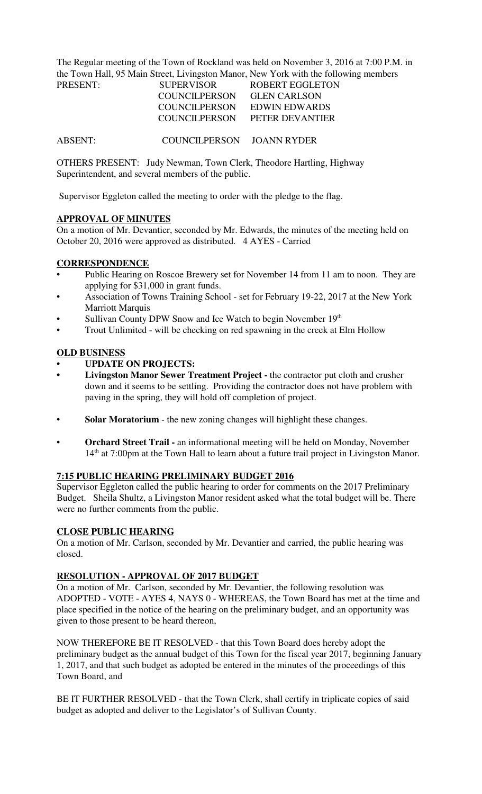The Regular meeting of the Town of Rockland was held on November 3, 2016 at 7:00 P.M. in the Town Hall, 95 Main Street, Livingston Manor, New York with the following members

| PRESENT: | <b>SUPERVISOR</b>    | <b>ROBERT EGGLETON</b>        |
|----------|----------------------|-------------------------------|
|          | <b>COUNCILPERSON</b> | <b>GLEN CARLSON</b>           |
|          |                      | COUNCILPERSON EDWIN EDWARDS   |
|          |                      | COUNCILPERSON PETER DEVANTIER |
|          |                      |                               |
|          |                      |                               |

ABSENT: COUNCILPERSON JOANN RYDER

OTHERS PRESENT: Judy Newman, Town Clerk, Theodore Hartling, Highway Superintendent, and several members of the public.

Supervisor Eggleton called the meeting to order with the pledge to the flag.

# **APPROVAL OF MINUTES**

On a motion of Mr. Devantier, seconded by Mr. Edwards, the minutes of the meeting held on October 20, 2016 were approved as distributed. 4 AYES - Carried

# **CORRESPONDENCE**

- Public Hearing on Roscoe Brewery set for November 14 from 11 am to noon. They are applying for \$31,000 in grant funds.
- Association of Towns Training School set for February 19-22, 2017 at the New York Marriott Marquis
- Sullivan County DPW Snow and Ice Watch to begin November 19th
- Trout Unlimited will be checking on red spawning in the creek at Elm Hollow

# **OLD BUSINESS**

- **UPDATE ON PROJECTS:**
- **Livingston Manor Sewer Treatment Project** the contractor put cloth and crusher down and it seems to be settling. Providing the contractor does not have problem with paving in the spring, they will hold off completion of project.
- **Solar Moratorium**  the new zoning changes will highlight these changes.
- **Orchard Street Trail** an informational meeting will be held on Monday, November 14<sup>th</sup> at 7:00pm at the Town Hall to learn about a future trail project in Livingston Manor.

# **7:15 PUBLIC HEARING PRELIMINARY BUDGET 2016**

Supervisor Eggleton called the public hearing to order for comments on the 2017 Preliminary Budget. Sheila Shultz, a Livingston Manor resident asked what the total budget will be. There were no further comments from the public.

# **CLOSE PUBLIC HEARING**

On a motion of Mr. Carlson, seconded by Mr. Devantier and carried, the public hearing was closed.

# **RESOLUTION - APPROVAL OF 2017 BUDGET**

On a motion of Mr. Carlson, seconded by Mr. Devantier, the following resolution was ADOPTED - VOTE - AYES 4, NAYS 0 - WHEREAS, the Town Board has met at the time and place specified in the notice of the hearing on the preliminary budget, and an opportunity was given to those present to be heard thereon,

NOW THEREFORE BE IT RESOLVED - that this Town Board does hereby adopt the preliminary budget as the annual budget of this Town for the fiscal year 2017, beginning January 1, 2017, and that such budget as adopted be entered in the minutes of the proceedings of this Town Board, and

BE IT FURTHER RESOLVED - that the Town Clerk, shall certify in triplicate copies of said budget as adopted and deliver to the Legislator's of Sullivan County.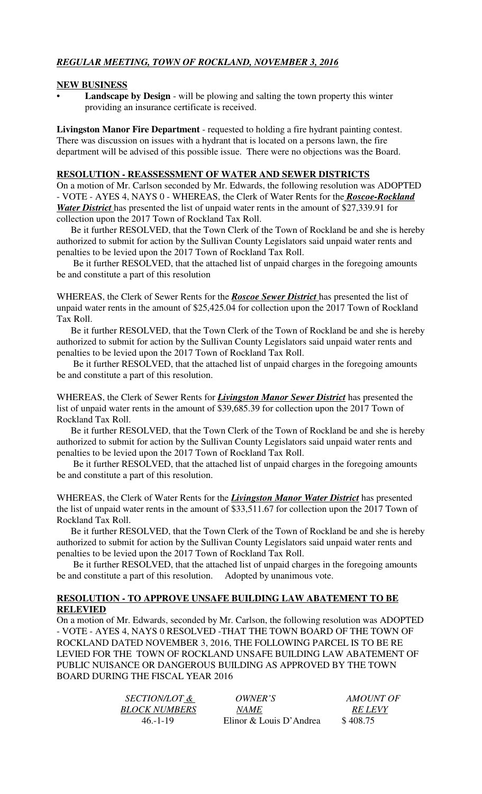# *REGULAR MEETING, TOWN OF ROCKLAND, NOVEMBER 3, 2016*

# **NEW BUSINESS**

Landscape by Design - will be plowing and salting the town property this winter providing an insurance certificate is received.

**Livingston Manor Fire Department** - requested to holding a fire hydrant painting contest. There was discussion on issues with a hydrant that is located on a persons lawn, the fire department will be advised of this possible issue. There were no objections was the Board.

# **RESOLUTION - REASSESSMENT OF WATER AND SEWER DISTRICTS**

On a motion of Mr. Carlson seconded by Mr. Edwards, the following resolution was ADOPTED - VOTE - AYES 4, NAYS 0 - WHEREAS, the Clerk of Water Rents for the *Roscoe-Rockland Water District* has presented the list of unpaid water rents in the amount of \$27,339.91 for collection upon the 2017 Town of Rockland Tax Roll.

 Be it further RESOLVED, that the Town Clerk of the Town of Rockland be and she is hereby authorized to submit for action by the Sullivan County Legislators said unpaid water rents and penalties to be levied upon the 2017 Town of Rockland Tax Roll.

 Be it further RESOLVED, that the attached list of unpaid charges in the foregoing amounts be and constitute a part of this resolution

WHEREAS, the Clerk of Sewer Rents for the *Roscoe Sewer District* has presented the list of unpaid water rents in the amount of \$25,425.04 for collection upon the 2017 Town of Rockland Tax Roll.

 Be it further RESOLVED, that the Town Clerk of the Town of Rockland be and she is hereby authorized to submit for action by the Sullivan County Legislators said unpaid water rents and penalties to be levied upon the 2017 Town of Rockland Tax Roll.

 Be it further RESOLVED, that the attached list of unpaid charges in the foregoing amounts be and constitute a part of this resolution.

WHEREAS, the Clerk of Sewer Rents for *Livingston Manor Sewer District* has presented the list of unpaid water rents in the amount of \$39,685.39 for collection upon the 2017 Town of Rockland Tax Roll.

 Be it further RESOLVED, that the Town Clerk of the Town of Rockland be and she is hereby authorized to submit for action by the Sullivan County Legislators said unpaid water rents and penalties to be levied upon the 2017 Town of Rockland Tax Roll.

 Be it further RESOLVED, that the attached list of unpaid charges in the foregoing amounts be and constitute a part of this resolution.

WHEREAS, the Clerk of Water Rents for the *Livingston Manor Water District* has presented the list of unpaid water rents in the amount of \$33,511.67 for collection upon the 2017 Town of Rockland Tax Roll.

 Be it further RESOLVED, that the Town Clerk of the Town of Rockland be and she is hereby authorized to submit for action by the Sullivan County Legislators said unpaid water rents and penalties to be levied upon the 2017 Town of Rockland Tax Roll.

 Be it further RESOLVED, that the attached list of unpaid charges in the foregoing amounts be and constitute a part of this resolution. Adopted by unanimous vote.

# **RESOLUTION - TO APPROVE UNSAFE BUILDING LAW ABATEMENT TO BE RELEVIED**

On a motion of Mr. Edwards, seconded by Mr. Carlson, the following resolution was ADOPTED - VOTE - AYES 4, NAYS 0 RESOLVED -THAT THE TOWN BOARD OF THE TOWN OF ROCKLAND DATED NOVEMBER 3, 2016, THE FOLLOWING PARCEL IS TO BE RE LEVIED FOR THE TOWN OF ROCKLAND UNSAFE BUILDING LAW ABATEMENT OF PUBLIC NUISANCE OR DANGEROUS BUILDING AS APPROVED BY THE TOWN BOARD DURING THE FISCAL YEAR 2016

| <i>SECTION/LOT &amp;</i> | <i>OWNER'S</i>          | <i>AMOUNT OF</i> |
|--------------------------|-------------------------|------------------|
| <b>BLOCK NUMBERS</b>     | <i>NAME</i>             | <i>RE LEVY</i>   |
| $46 - 1 - 19$            | Elinor & Louis D'Andrea | \$408.75         |